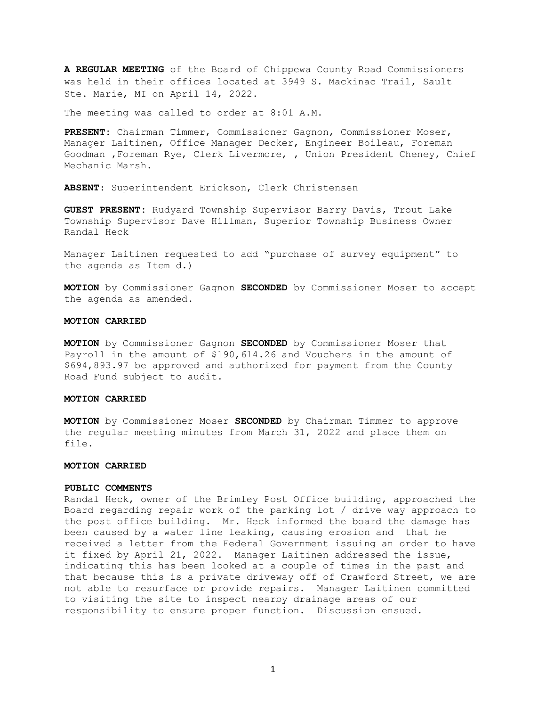**A REGULAR MEETING** of the Board of Chippewa County Road Commissioners was held in their offices located at 3949 S. Mackinac Trail, Sault Ste. Marie, MI on April 14, 2022.

The meeting was called to order at 8:01 A.M.

**PRESENT:** Chairman Timmer, Commissioner Gagnon, Commissioner Moser, Manager Laitinen, Office Manager Decker, Engineer Boileau, Foreman Goodman ,Foreman Rye, Clerk Livermore, , Union President Cheney, Chief Mechanic Marsh.

**ABSENT**: Superintendent Erickson, Clerk Christensen

**GUEST PRESENT:** Rudyard Township Supervisor Barry Davis, Trout Lake Township Supervisor Dave Hillman, Superior Township Business Owner Randal Heck

Manager Laitinen requested to add "purchase of survey equipment" to the agenda as Item d.)

**MOTION** by Commissioner Gagnon **SECONDED** by Commissioner Moser to accept the agenda as amended.

#### **MOTION CARRIED**

**MOTION** by Commissioner Gagnon **SECONDED** by Commissioner Moser that Payroll in the amount of \$190,614.26 and Vouchers in the amount of \$694,893.97 be approved and authorized for payment from the County Road Fund subject to audit.

#### **MOTION CARRIED**

**MOTION** by Commissioner Moser **SECONDED** by Chairman Timmer to approve the regular meeting minutes from March 31, 2022 and place them on file.

#### **MOTION CARRIED**

#### **PUBLIC COMMENTS**

Randal Heck, owner of the Brimley Post Office building, approached the Board regarding repair work of the parking lot / drive way approach to the post office building. Mr. Heck informed the board the damage has been caused by a water line leaking, causing erosion and that he received a letter from the Federal Government issuing an order to have it fixed by April 21, 2022. Manager Laitinen addressed the issue, indicating this has been looked at a couple of times in the past and that because this is a private driveway off of Crawford Street, we are not able to resurface or provide repairs. Manager Laitinen committed to visiting the site to inspect nearby drainage areas of our responsibility to ensure proper function. Discussion ensued.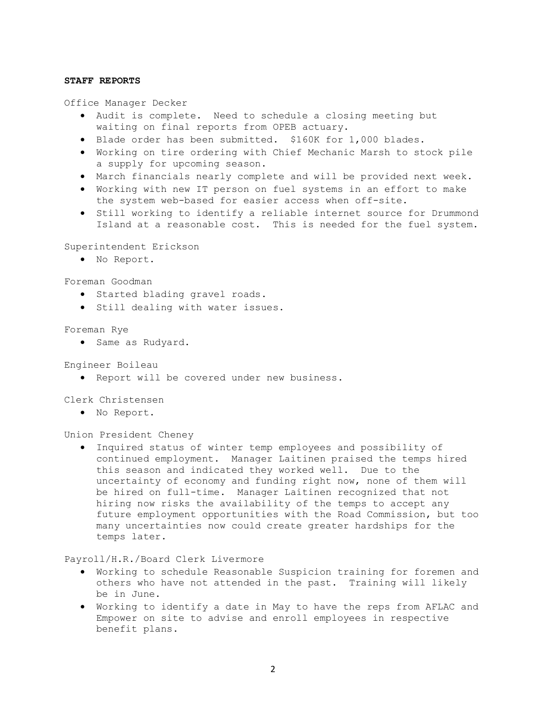## **STAFF REPORTS**

Office Manager Decker

- Audit is complete. Need to schedule a closing meeting but waiting on final reports from OPEB actuary.
- Blade order has been submitted. \$160K for 1,000 blades.
- Working on tire ordering with Chief Mechanic Marsh to stock pile a supply for upcoming season.
- March financials nearly complete and will be provided next week.
- Working with new IT person on fuel systems in an effort to make the system web-based for easier access when off-site.
- Still working to identify a reliable internet source for Drummond Island at a reasonable cost. This is needed for the fuel system.

Superintendent Erickson

• No Report.

Foreman Goodman

- Started blading gravel roads.
- Still dealing with water issues.

## Foreman Rye

• Same as Rudyard.

Engineer Boileau

• Report will be covered under new business.

Clerk Christensen

• No Report.

Union President Cheney

• Inquired status of winter temp employees and possibility of continued employment. Manager Laitinen praised the temps hired this season and indicated they worked well. Due to the uncertainty of economy and funding right now, none of them will be hired on full-time. Manager Laitinen recognized that not hiring now risks the availability of the temps to accept any future employment opportunities with the Road Commission, but too many uncertainties now could create greater hardships for the temps later.

Payroll/H.R./Board Clerk Livermore

- Working to schedule Reasonable Suspicion training for foremen and others who have not attended in the past. Training will likely be in June.
- Working to identify a date in May to have the reps from AFLAC and Empower on site to advise and enroll employees in respective benefit plans.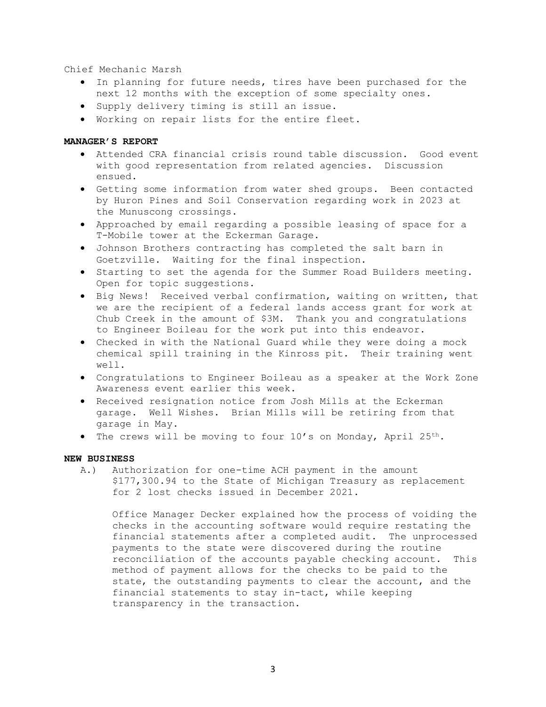Chief Mechanic Marsh

- In planning for future needs, tires have been purchased for the next 12 months with the exception of some specialty ones.
- Supply delivery timing is still an issue.
- Working on repair lists for the entire fleet.

## **MANAGER'S REPORT**

- Attended CRA financial crisis round table discussion. Good event with good representation from related agencies. Discussion ensued.
- Getting some information from water shed groups. Been contacted by Huron Pines and Soil Conservation regarding work in 2023 at the Munuscong crossings.
- Approached by email regarding a possible leasing of space for a T-Mobile tower at the Eckerman Garage.
- Johnson Brothers contracting has completed the salt barn in Goetzville. Waiting for the final inspection.
- Starting to set the agenda for the Summer Road Builders meeting. Open for topic suggestions.
- Big News! Received verbal confirmation, waiting on written, that we are the recipient of a federal lands access grant for work at Chub Creek in the amount of \$3M. Thank you and congratulations to Engineer Boileau for the work put into this endeavor.
- Checked in with the National Guard while they were doing a mock chemical spill training in the Kinross pit. Their training went well.
- Congratulations to Engineer Boileau as a speaker at the Work Zone Awareness event earlier this week.
- Received resignation notice from Josh Mills at the Eckerman garage. Well Wishes. Brian Mills will be retiring from that garage in May.
- The crews will be moving to four 10's on Monday, April 25th.

## **NEW BUSINESS**

A.) Authorization for one-time ACH payment in the amount \$177,300.94 to the State of Michigan Treasury as replacement for 2 lost checks issued in December 2021.

Office Manager Decker explained how the process of voiding the checks in the accounting software would require restating the financial statements after a completed audit. The unprocessed payments to the state were discovered during the routine reconciliation of the accounts payable checking account. This method of payment allows for the checks to be paid to the state, the outstanding payments to clear the account, and the financial statements to stay in-tact, while keeping transparency in the transaction.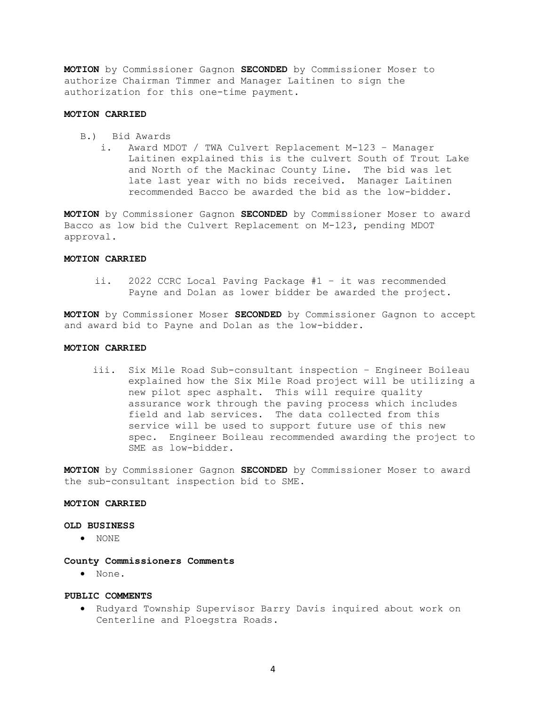**MOTION** by Commissioner Gagnon **SECONDED** by Commissioner Moser to authorize Chairman Timmer and Manager Laitinen to sign the authorization for this one-time payment.

## **MOTION CARRIED**

- B.) Bid Awards
	- i. Award MDOT / TWA Culvert Replacement M-123 Manager Laitinen explained this is the culvert South of Trout Lake and North of the Mackinac County Line. The bid was let late last year with no bids received. Manager Laitinen recommended Bacco be awarded the bid as the low-bidder.

**MOTION** by Commissioner Gagnon **SECONDED** by Commissioner Moser to award Bacco as low bid the Culvert Replacement on M-123, pending MDOT approval.

#### **MOTION CARRIED**

ii. 2022 CCRC Local Paving Package #1 – it was recommended Payne and Dolan as lower bidder be awarded the project.

**MOTION** by Commissioner Moser **SECONDED** by Commissioner Gagnon to accept and award bid to Payne and Dolan as the low-bidder.

#### **MOTION CARRIED**

iii. Six Mile Road Sub-consultant inspection – Engineer Boileau explained how the Six Mile Road project will be utilizing a new pilot spec asphalt. This will require quality assurance work through the paving process which includes field and lab services. The data collected from this service will be used to support future use of this new spec. Engineer Boileau recommended awarding the project to SME as low-bidder.

**MOTION** by Commissioner Gagnon **SECONDED** by Commissioner Moser to award the sub-consultant inspection bid to SME.

# **MOTION CARRIED**

## **OLD BUSINESS**

• NONE

#### **County Commissioners Comments**

• None.

## **PUBLIC COMMENTS**

• Rudyard Township Supervisor Barry Davis inquired about work on Centerline and Ploegstra Roads.